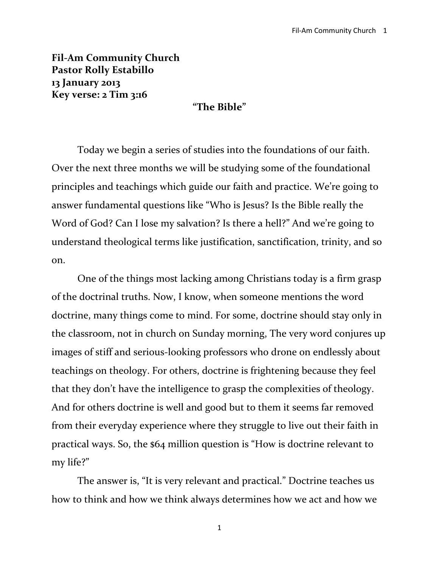**Fil-Am Community Church Pastor Rolly Estabillo 13 January 2013 Key verse: 2 Tim 3:16**

### **"The Bible"**

Today we begin a series of studies into the foundations of our faith. Over the next three months we will be studying some of the foundational principles and teachings which guide our faith and practice. We're going to answer fundamental questions like "Who is Jesus? Is the Bible really the Word of God? Can I lose my salvation? Is there a hell?" And we're going to understand theological terms like justification, sanctification, trinity, and so on.

One of the things most lacking among Christians today is a firm grasp of the doctrinal truths. Now, I know, when someone mentions the word doctrine, many things come to mind. For some, doctrine should stay only in the classroom, not in church on Sunday morning, The very word conjures up images of stiff and serious-looking professors who drone on endlessly about teachings on theology. For others, doctrine is frightening because they feel that they don't have the intelligence to grasp the complexities of theology. And for others doctrine is well and good but to them it seems far removed from their everyday experience where they struggle to live out their faith in practical ways. So, the \$64 million question is "How is doctrine relevant to my life?"

The answer is, "It is very relevant and practical." Doctrine teaches us how to think and how we think always determines how we act and how we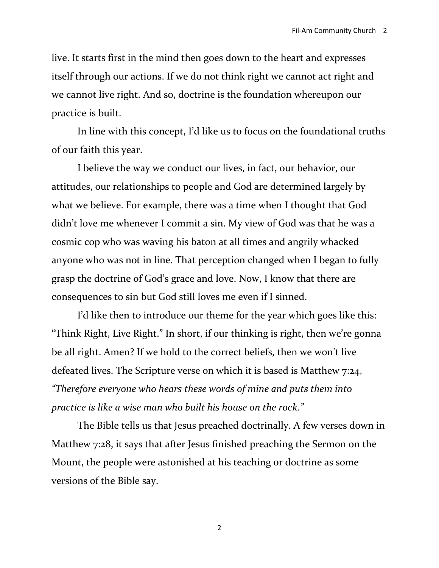live. It starts first in the mind then goes down to the heart and expresses itself through our actions. If we do not think right we cannot act right and we cannot live right. And so, doctrine is the foundation whereupon our practice is built.

In line with this concept, I'd like us to focus on the foundational truths of our faith this year.

I believe the way we conduct our lives, in fact, our behavior, our attitudes, our relationships to people and God are determined largely by what we believe. For example, there was a time when I thought that God didn't love me whenever I commit a sin. My view of God was that he was a cosmic cop who was waving his baton at all times and angrily whacked anyone who was not in line. That perception changed when I began to fully grasp the doctrine of God's grace and love. Now, I know that there are consequences to sin but God still loves me even if I sinned.

I'd like then to introduce our theme for the year which goes like this: "Think Right, Live Right." In short, if our thinking is right, then we're gonna be all right. Amen? If we hold to the correct beliefs, then we won't live defeated lives. The Scripture verse on which it is based is Matthew 7:24, *"Therefore everyone who hears these words of mine and puts them into practice is like a wise man who built his house on the rock."*

The Bible tells us that Jesus preached doctrinally. A few verses down in Matthew 7:28, it says that after Jesus finished preaching the Sermon on the Mount, the people were astonished at his teaching or doctrine as some versions of the Bible say.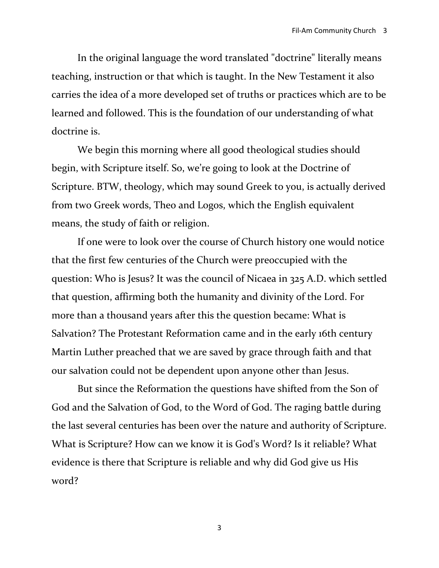In the original language the word translated "doctrine" literally means teaching, instruction or that which is taught. In the New Testament it also carries the idea of a more developed set of truths or practices which are to be learned and followed. This is the foundation of our understanding of what doctrine is.

We begin this morning where all good theological studies should begin, with Scripture itself. So, we're going to look at the Doctrine of Scripture. BTW, theology, which may sound Greek to you, is actually derived from two Greek words, Theo and Logos, which the English equivalent means, the study of faith or religion.

If one were to look over the course of Church history one would notice that the first few centuries of the Church were preoccupied with the question: Who is Jesus? It was the council of Nicaea in 325 A.D. which settled that question, affirming both the humanity and divinity of the Lord. For more than a thousand years after this the question became: What is Salvation? The Protestant Reformation came and in the early 16th century Martin Luther preached that we are saved by grace through faith and that our salvation could not be dependent upon anyone other than Jesus.

But since the Reformation the questions have shifted from the Son of God and the Salvation of God, to the Word of God. The raging battle during the last several centuries has been over the nature and authority of Scripture. What is Scripture? How can we know it is God's Word? Is it reliable? What evidence is there that Scripture is reliable and why did God give us His word?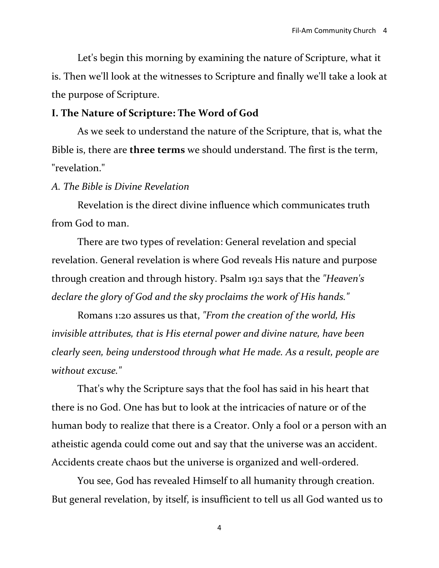Let's begin this morning by examining the nature of Scripture, what it is. Then we'll look at the witnesses to Scripture and finally we'll take a look at the purpose of Scripture.

# **I. The Nature of Scripture: The Word of God**

As we seek to understand the nature of the Scripture, that is, what the Bible is, there are **three terms** we should understand. The first is the term, "revelation."

## *A. The Bible is Divine Revelation*

Revelation is the direct divine influence which communicates truth from God to man.

There are two types of revelation: General revelation and special revelation. General revelation is where God reveals His nature and purpose through creation and through history. Psalm 19:1 says that the *"Heaven's declare the glory of God and the sky proclaims the work of His hands."*

Romans 1:20 assures us that, *"From the creation of the world, His invisible attributes, that is His eternal power and divine nature, have been clearly seen, being understood through what He made. As a result, people are without excuse."*

That's why the Scripture says that the fool has said in his heart that there is no God. One has but to look at the intricacies of nature or of the human body to realize that there is a Creator. Only a fool or a person with an atheistic agenda could come out and say that the universe was an accident. Accidents create chaos but the universe is organized and well-ordered.

You see, God has revealed Himself to all humanity through creation. But general revelation, by itself, is insufficient to tell us all God wanted us to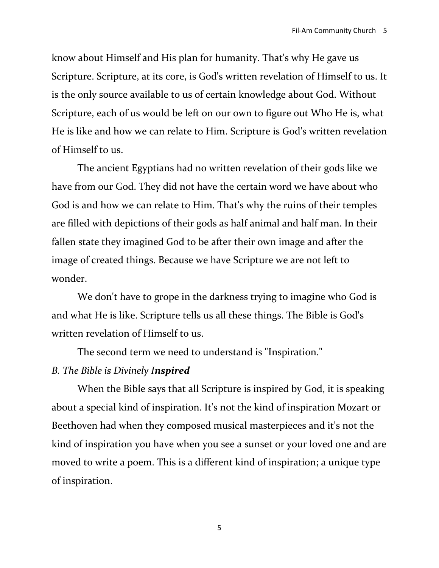know about Himself and His plan for humanity. That's why He gave us Scripture. Scripture, at its core, is God's written revelation of Himself to us. It is the only source available to us of certain knowledge about God. Without Scripture, each of us would be left on our own to figure out Who He is, what He is like and how we can relate to Him. Scripture is God's written revelation of Himself to us.

The ancient Egyptians had no written revelation of their gods like we have from our God. They did not have the certain word we have about who God is and how we can relate to Him. That's why the ruins of their temples are filled with depictions of their gods as half animal and half man. In their fallen state they imagined God to be after their own image and after the image of created things. Because we have Scripture we are not left to wonder.

We don't have to grope in the darkness trying to imagine who God is and what He is like. Scripture tells us all these things. The Bible is God's written revelation of Himself to us.

The second term we need to understand is "Inspiration."

# *B. The Bible is Divinely Inspired*

When the Bible says that all Scripture is inspired by God, it is speaking about a special kind of inspiration. It's not the kind of inspiration Mozart or Beethoven had when they composed musical masterpieces and it's not the kind of inspiration you have when you see a sunset or your loved one and are moved to write a poem. This is a different kind of inspiration; a unique type of inspiration.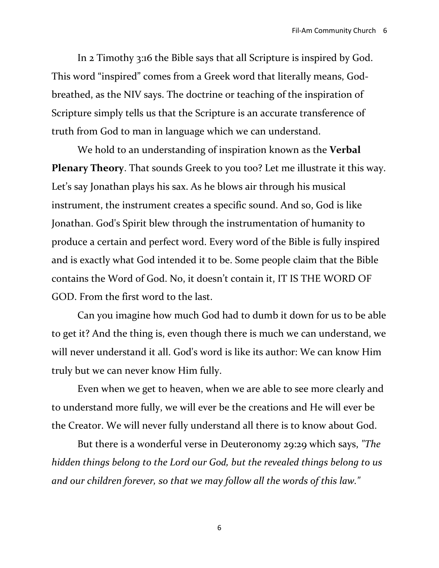In 2 Timothy 3:16 the Bible says that all Scripture is inspired by God. This word "inspired" comes from a Greek word that literally means, Godbreathed, as the NIV says. The doctrine or teaching of the inspiration of Scripture simply tells us that the Scripture is an accurate transference of truth from God to man in language which we can understand.

We hold to an understanding of inspiration known as the **Verbal Plenary Theory**. That sounds Greek to you too? Let me illustrate it this way. Let's say Jonathan plays his sax. As he blows air through his musical instrument, the instrument creates a specific sound. And so, God is like Jonathan. God's Spirit blew through the instrumentation of humanity to produce a certain and perfect word. Every word of the Bible is fully inspired and is exactly what God intended it to be. Some people claim that the Bible contains the Word of God. No, it doesn't contain it, IT IS THE WORD OF GOD. From the first word to the last.

Can you imagine how much God had to dumb it down for us to be able to get it? And the thing is, even though there is much we can understand, we will never understand it all. God's word is like its author: We can know Him truly but we can never know Him fully.

Even when we get to heaven, when we are able to see more clearly and to understand more fully, we will ever be the creations and He will ever be the Creator. We will never fully understand all there is to know about God.

But there is a wonderful verse in Deuteronomy 29:29 which says, *"The hidden things belong to the Lord our God, but the revealed things belong to us and our children forever, so that we may follow all the words of this law."*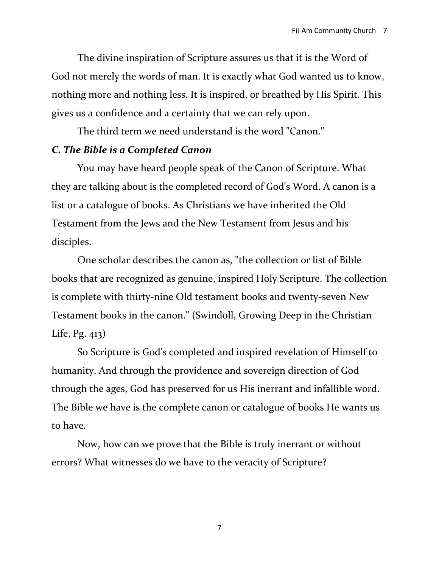The divine inspiration of Scripture assures us that it is the Word of God not merely the words of man. It is exactly what God wanted us to know, nothing more and nothing less. It is inspired, or breathed by His Spirit. This gives us a confidence and a certainty that we can rely upon.

The third term we need understand is the word "Canon."

## *C. The Bible is a Completed Canon*

You may have heard people speak of the Canon of Scripture. What they are talking about is the completed record of God's Word. A canon is a list or a catalogue of books. As Christians we have inherited the Old Testament from the Jews and the New Testament from Jesus and his disciples.

One scholar describes the canon as, "the collection or list of Bible books that are recognized as genuine, inspired Holy Scripture. The collection is complete with thirty-nine Old testament books and twenty-seven New Testament books in the canon." (Swindoll, Growing Deep in the Christian Life, Pg. 413)

So Scripture is God's completed and inspired revelation of Himself to humanity. And through the providence and sovereign direction of God through the ages, God has preserved for us His inerrant and infallible word. The Bible we have is the complete canon or catalogue of books He wants us to have.

Now, how can we prove that the Bible is truly inerrant or without errors? What witnesses do we have to the veracity of Scripture?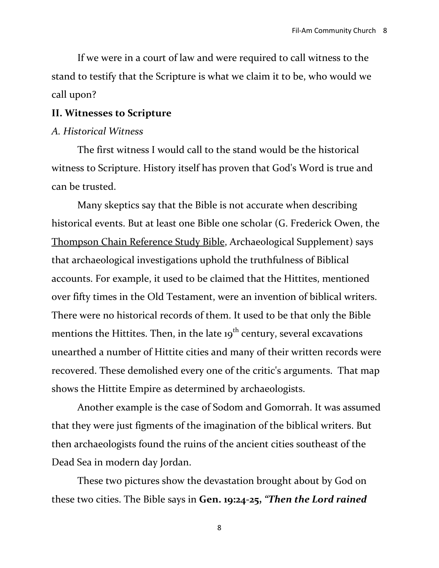If we were in a court of law and were required to call witness to the stand to testify that the Scripture is what we claim it to be, who would we call upon?

#### **II. Witnesses to Scripture**

## *A. Historical Witness*

The first witness I would call to the stand would be the historical witness to Scripture. History itself has proven that God's Word is true and can be trusted.

Many skeptics say that the Bible is not accurate when describing historical events. But at least one Bible one scholar (G. Frederick Owen, the [Thompson Chain Reference Study Bible,](http://www.lifeway.com/Keyword/Thompson+Chain+Reference+Study+Bible) Archaeological Supplement) says that archaeological investigations uphold the truthfulness of Biblical accounts. For example, it used to be claimed that the Hittites, mentioned over fifty times in the Old Testament, were an invention of biblical writers. There were no historical records of them. It used to be that only the Bible mentions the Hittites. Then, in the late  $19<sup>th</sup>$  century, several excavations unearthed a number of Hittite cities and many of their written records were recovered. These demolished every one of the critic's arguments. That map shows the Hittite Empire as determined by archaeologists.

Another example is the case of Sodom and Gomorrah. It was assumed that they were just figments of the imagination of the biblical writers. But then archaeologists found the ruins of the ancient cities southeast of the Dead Sea in modern day Jordan.

These two pictures show the devastation brought about by God on these two cities. The Bible says in **Gen. 19:24-25,** *"Then the Lord rained*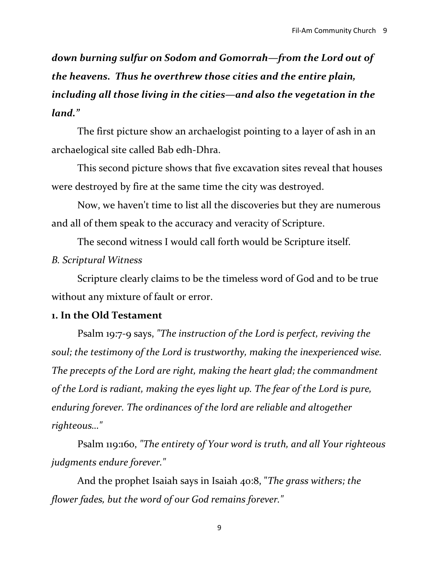*down burning sulfur on Sodom and Gomorrah—from the Lord out of the heavens. Thus he overthrew those cities and the entire plain, including all those living in the cities—and also the vegetation in the land."*

The first picture show an archaelogist pointing to a layer of ash in an archaelogical site called Bab edh-Dhra.

This second picture shows that five excavation sites reveal that houses were destroyed by fire at the same time the city was destroyed.

Now, we haven't time to list all the discoveries but they are numerous and all of them speak to the accuracy and veracity of Scripture.

The second witness I would call forth would be Scripture itself.

# *B. Scriptural Witness*

Scripture clearly claims to be the timeless word of God and to be true without any mixture of fault or error.

# **1. In the Old Testament**

Psalm 19:7-9 says, *"The instruction of the Lord is perfect, reviving the soul; the testimony of the Lord is trustworthy, making the inexperienced wise. The precepts of the Lord are right, making the heart glad; the commandment of the Lord is radiant, making the eyes light up. The fear of the Lord is pure, enduring forever. The ordinances of the lord are reliable and altogether righteous…"*

Psalm 119:160, *"The entirety of Your word is truth, and all Your righteous judgments endure forever."*

And the prophet Isaiah says in Isaiah 40:8, "*The grass withers; the flower fades, but the word of our God remains forever."*

<sup>9</sup>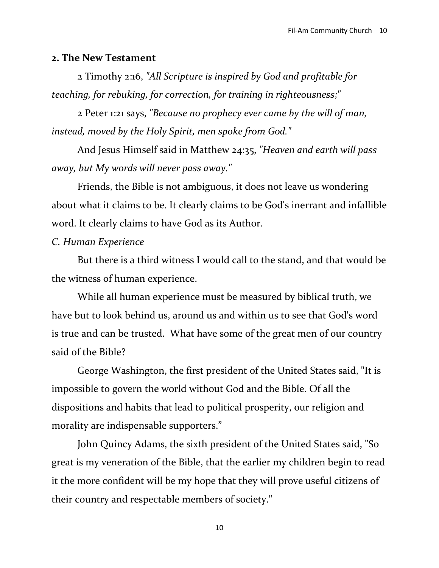### **2. The New Testament**

2 Timothy 2:16, *"All Scripture is inspired by God and profitable for teaching, for rebuking, for correction, for training in righteousness;"*

2 Peter 1:21 says, *"Because no prophecy ever came by the will of man, instead, moved by the Holy Spirit, men spoke from God."*

And Jesus Himself said in Matthew 24:35, *"Heaven and earth will pass away, but My words will never pass away."*

Friends, the Bible is not ambiguous, it does not leave us wondering about what it claims to be. It clearly claims to be God's inerrant and infallible word. It clearly claims to have God as its Author.

# *C. Human Experience*

But there is a third witness I would call to the stand, and that would be the witness of human experience.

While all human experience must be measured by biblical truth, we have but to look behind us, around us and within us to see that God's word is true and can be trusted. What have some of the great men of our country said of the Bible?

George Washington, the first president of the United States said, "It is impossible to govern the world without God and the Bible. Of all the dispositions and habits that lead to political prosperity, our religion and morality are indispensable supporters."

John Quincy Adams, the sixth president of the United States said, "So great is my veneration of the Bible, that the earlier my children begin to read it the more confident will be my hope that they will prove useful citizens of their country and respectable members of society."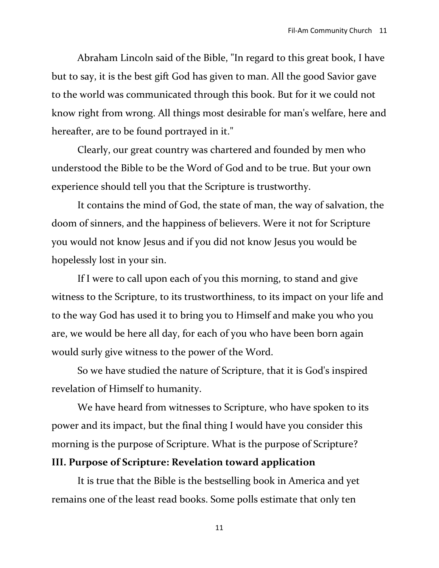Abraham Lincoln said of the Bible, "In regard to this great book, I have but to say, it is the best gift God has given to man. All the good Savior gave to the world was communicated through this book. But for it we could not know right from wrong. All things most desirable for man's welfare, here and hereafter, are to be found portrayed in it."

Clearly, our great country was chartered and founded by men who understood the Bible to be the Word of God and to be true. But your own experience should tell you that the Scripture is trustworthy.

It contains the mind of God, the state of man, the way of salvation, the doom of sinners, and the happiness of believers. Were it not for Scripture you would not know Jesus and if you did not know Jesus you would be hopelessly lost in your sin.

If I were to call upon each of you this morning, to stand and give witness to the Scripture, to its trustworthiness, to its impact on your life and to the way God has used it to bring you to Himself and make you who you are, we would be here all day, for each of you who have been born again would surly give witness to the power of the Word.

So we have studied the nature of Scripture, that it is God's inspired revelation of Himself to humanity.

We have heard from witnesses to Scripture, who have spoken to its power and its impact, but the final thing I would have you consider this morning is the purpose of Scripture. What is the purpose of Scripture?

## **III. Purpose of Scripture: Revelation toward application**

It is true that the Bible is the bestselling book in America and yet remains one of the least read books. Some polls estimate that only ten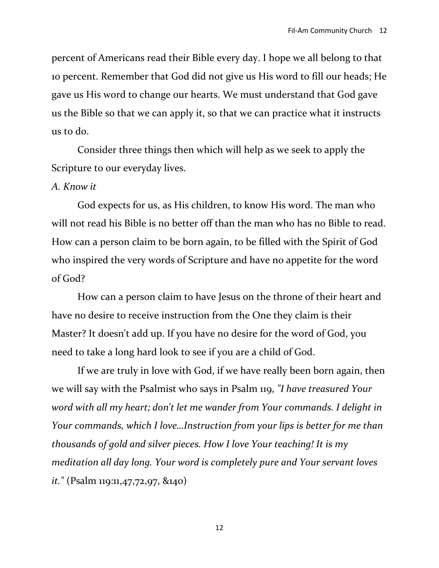percent of Americans read their Bible every day. I hope we all belong to that 10 percent. Remember that God did not give us His word to fill our heads; He gave us His word to change our hearts. We must understand that God gave us the Bible so that we can apply it, so that we can practice what it instructs us to do.

Consider three things then which will help as we seek to apply the Scripture to our everyday lives.

#### *A. Know it*

God expects for us, as His children, to know His word. The man who will not read his Bible is no better off than the man who has no Bible to read. How can a person claim to be born again, to be filled with the Spirit of God who inspired the very words of Scripture and have no appetite for the word of God?

How can a person claim to have Jesus on the throne of their heart and have no desire to receive instruction from the One they claim is their Master? It doesn't add up. If you have no desire for the word of God, you need to take a long hard look to see if you are a child of God.

If we are truly in love with God, if we have really been born again, then we will say with the Psalmist who says in Psalm 119, *"I have treasured Your word with all my heart; don't let me wander from Your commands. I delight in Your commands, which I love…Instruction from your lips is better for me than thousands of gold and silver pieces. How I love Your teaching! It is my meditation all day long. Your word is completely pure and Your servant loves it."* (Psalm 119:11,47,72,97, &140)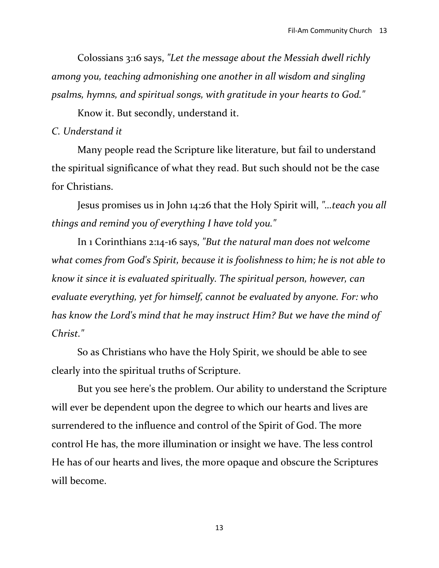Colossians 3:16 says, *"Let the message about the Messiah dwell richly among you, teaching admonishing one another in all wisdom and singling psalms, hymns, and spiritual songs, with gratitude in your hearts to God."*

Know it. But secondly, understand it.

## *C. Understand it*

Many people read the Scripture like literature, but fail to understand the spiritual significance of what they read. But such should not be the case for Christians.

Jesus promises us in John 14:26 that the Holy Spirit will, *"…teach you all things and remind you of everything I have told you."*

In 1 Corinthians 2:14-16 says, *"But the natural man does not welcome what comes from God's Spirit, because it is foolishness to him; he is not able to know it since it is evaluated spiritually. The spiritual person, however, can evaluate everything, yet for himself, cannot be evaluated by anyone. For: who has know the Lord's mind that he may instruct Him? But we have the mind of Christ."*

So as Christians who have the Holy Spirit, we should be able to see clearly into the spiritual truths of Scripture.

But you see here's the problem. Our ability to understand the Scripture will ever be dependent upon the degree to which our hearts and lives are surrendered to the influence and control of the Spirit of God. The more control He has, the more illumination or insight we have. The less control He has of our hearts and lives, the more opaque and obscure the Scriptures will become.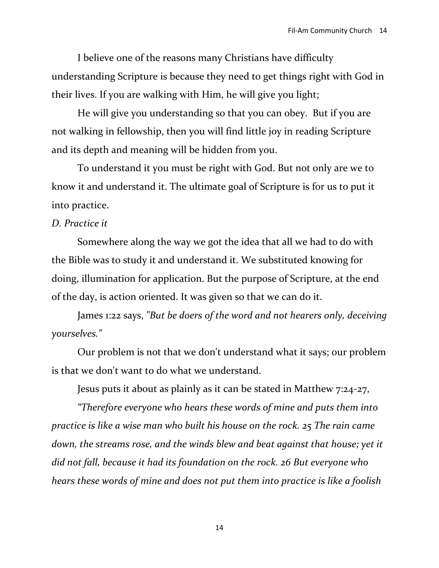I believe one of the reasons many Christians have difficulty understanding Scripture is because they need to get things right with God in their lives. If you are walking with Him, he will give you light;

He will give you understanding so that you can obey. But if you are not walking in fellowship, then you will find little joy in reading Scripture and its depth and meaning will be hidden from you.

To understand it you must be right with God. But not only are we to know it and understand it. The ultimate goal of Scripture is for us to put it into practice.

### *D. Practice it*

Somewhere along the way we got the idea that all we had to do with the Bible was to study it and understand it. We substituted knowing for doing, illumination for application. But the purpose of Scripture, at the end of the day, is action oriented. It was given so that we can do it.

James 1:22 says, *"But be doers of the word and not hearers only, deceiving yourselves."*

Our problem is not that we don't understand what it says; our problem is that we don't want to do what we understand.

Jesus puts it about as plainly as it can be stated in Matthew 7:24-27,

*"Therefore everyone who hears these words of mine and puts them into practice is like a wise man who built his house on the rock. 25 The rain came*  down, the streams rose, and the winds blew and beat against that house; yet it *did not fall, because it had its foundation on the rock. 26 But everyone who hears these words of mine and does not put them into practice is like a foolish*